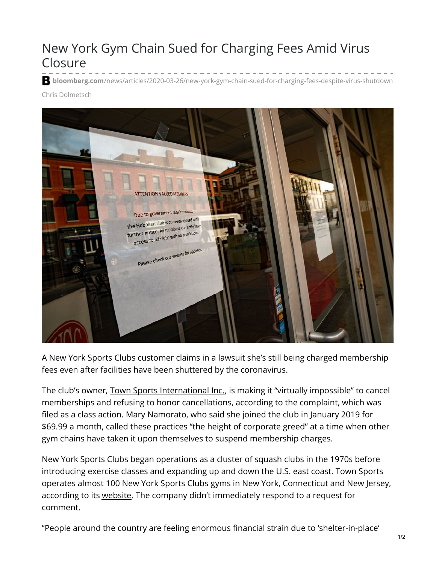## New York Gym Chain Sued for Charging Fees Amid Virus Closure

**b** bloomberg.com[/news/articles/2020-03-26/new-york-gym-chain-sued-for-charging-fees-despite-virus-shutdown](https://www.bloomberg.com/news/articles/2020-03-26/new-york-gym-chain-sued-for-charging-fees-despite-virus-shutdown)

Chris Dolmetsch



A New York Sports Clubs customer claims in a lawsuit she's still being charged membership fees even after facilities have been shuttered by the coronavirus.

The club's owner, Town Sports [International](https://www.bloomberg.com/quote/15670Z:US) Inc., is making it "virtually impossible" to cancel memberships and refusing to honor cancellations, according to the complaint, which was filed as a class action. Mary Namorato, who said she joined the club in January 2019 for \$69.99 a month, called these practices "the height of corporate greed" at a time when other gym chains have taken it upon themselves to suspend membership charges.

New York Sports Clubs began operations as a cluster of squash clubs in the 1970s before introducing exercise classes and expanding up and down the U.S. east coast. Town Sports operates almost 100 New York Sports Clubs gyms in New York, Connecticut and New Jersey, according to its [website](https://www.newyorksportsclubs.com/). The company didn't immediately respond to a request for comment.

"People around the country are feeling enormous financial strain due to 'shelter-in-place'